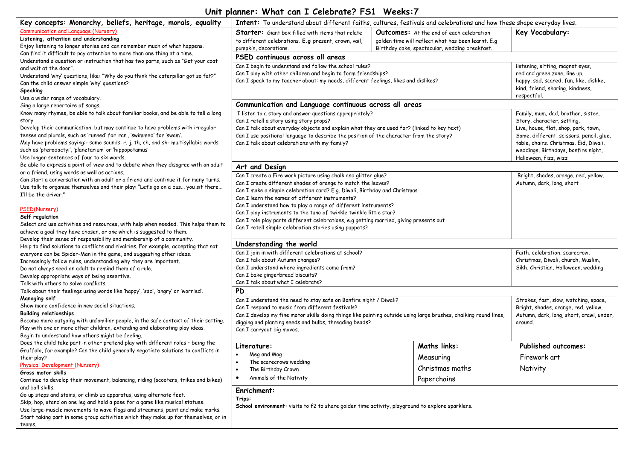## **Unit planner: What can I Celebrate? FS1 Weeks:7**

| Key concepts: Monarchy, beliefs, heritage, morals, equality<br>Intent: To understand about different faiths, cultures, festivals and celebrations and how these shape everyday lives.                                                                                                                                                                                                                                                               |                                                                                                                                                                                                                                                                                                                                              |                                                                                                                                                         |                                                                                                                                                                                                                                                                |
|-----------------------------------------------------------------------------------------------------------------------------------------------------------------------------------------------------------------------------------------------------------------------------------------------------------------------------------------------------------------------------------------------------------------------------------------------------|----------------------------------------------------------------------------------------------------------------------------------------------------------------------------------------------------------------------------------------------------------------------------------------------------------------------------------------------|---------------------------------------------------------------------------------------------------------------------------------------------------------|----------------------------------------------------------------------------------------------------------------------------------------------------------------------------------------------------------------------------------------------------------------|
| <b>Communication and Language (Nursery)</b><br>Listening, attention and understanding<br>Enjoy listening to longer stories and can remember much of what happens.                                                                                                                                                                                                                                                                                   | <b>Starter:</b> Giant box filled with items that relate<br>to different celebrations. E.g present, crown, vail,<br>pumpkin, decorations.                                                                                                                                                                                                     | <b>Outcomes:</b> At the end of each celebration<br>golden time will reflect what has been learnt. E.g<br>Birthday cake, spectacular, wedding breakfast. | Key Vocabulary:                                                                                                                                                                                                                                                |
| Can find it difficult to pay attention to more than one thing at a time.                                                                                                                                                                                                                                                                                                                                                                            | PSED continuous across all areas                                                                                                                                                                                                                                                                                                             |                                                                                                                                                         |                                                                                                                                                                                                                                                                |
| Understand a question or instruction that has two parts, such as "Get your coat<br>and wait at the door".<br>Understand 'why' questions, like: "Why do you think the caterpillar got so fat?"<br>Can the child answer simple 'why' questions?<br><b>Speaking</b><br>Use a wider range of vocabulary.                                                                                                                                                | Can I begin to understand and follow the school rules?<br>Can I play with other children and begin to form friendships?<br>Can I speak to my teacher about: my needs, different feelings, likes and dislikes?                                                                                                                                |                                                                                                                                                         | listening, sitting, magnet eyes,<br>red and green zone, line up,<br>happy, sad, scared, fun, like, dislike,<br>kind, friend, sharing, kindness,<br>respectful.                                                                                                 |
| Sing a large repertoire of songs.                                                                                                                                                                                                                                                                                                                                                                                                                   | Communication and Language continuous across all areas                                                                                                                                                                                                                                                                                       |                                                                                                                                                         |                                                                                                                                                                                                                                                                |
| Know many rhymes, be able to talk about familiar books, and be able to tell a long<br>story.<br>Develop their communication, but may continue to have problems with irregular<br>tenses and plurals, such as 'runned' for 'ran', 'swimmed' for 'swam'.<br>May have problems saying:- some sounds: r, j, th, ch, and sh- multisyllabic words<br>such as 'pterodactyl', 'planetarium' or 'hippopotamus'<br>Use longer sentences of four to six words. | I listen to a story and answer questions appropriately?<br>Can I retell a story using story props?<br>Can I talk about everyday objects and explain what they are used for? (linked to key text)<br>Can I use positional language to describe the position of the character from the story?<br>Can I talk about celebrations with my family? |                                                                                                                                                         | Family, mum, dad, brother, sister,<br>Story, character, setting,<br>Live, house, flat, shop, park, town,<br>Same, different, scissors, pencil, glue,<br>table, chairs. Christmas. Eid, Diwali,<br>weddings, Birthdays, bonfire night,<br>Halloween, fizz, wizz |
| Be able to express a point of view and to debate when they disagree with an adult                                                                                                                                                                                                                                                                                                                                                                   | Art and Design                                                                                                                                                                                                                                                                                                                               |                                                                                                                                                         |                                                                                                                                                                                                                                                                |
| or a friend, using words as well as actions.<br>Can start a conversation with an adult or a friend and continue it for many turns.<br>Use talk to organise themselves and their play: "Let's go on a bus you sit there<br>I'll be the driver."<br>PSED(Nursery)                                                                                                                                                                                     | Can I create a Fire work picture using chalk and glitter glue?<br>Can I create different shades of orange to match the leaves?<br>Can I make a simple celebration card? E.g. Diwali, Birthday and Christmas<br>Can I learn the names of different instruments?<br>Can I understand how to play a range of different instruments?             |                                                                                                                                                         | Bright, shades, orange, red, yellow.<br>Autumn, dark, long, short                                                                                                                                                                                              |
| Self regulation                                                                                                                                                                                                                                                                                                                                                                                                                                     | Can I play instruments to the tune of twinkle twinkle little star?                                                                                                                                                                                                                                                                           |                                                                                                                                                         |                                                                                                                                                                                                                                                                |
| Select and use activities and resources, with help when needed. This helps them to<br>achieve a goal they have chosen, or one which is suggested to them.<br>Develop their sense of responsibility and membership of a community.                                                                                                                                                                                                                   | Can I role play parts different celebrations, e.g getting married, giving presents out<br>Can I retell simple celebration stories using puppets?                                                                                                                                                                                             |                                                                                                                                                         |                                                                                                                                                                                                                                                                |
| Help to find solutions to conflicts and rivalries. For example, accepting that not                                                                                                                                                                                                                                                                                                                                                                  | Understanding the world                                                                                                                                                                                                                                                                                                                      |                                                                                                                                                         |                                                                                                                                                                                                                                                                |
| everyone can be Spider-Man in the game, and suggesting other ideas.<br>Increasingly follow rules, understanding why they are important.<br>Do not always need an adult to remind them of a rule.<br>Develop appropriate ways of being assertive.<br>Talk with others to solve conflicts.                                                                                                                                                            | Can I join in with different celebrations at school?<br>Can I talk about Autumn changes?<br>Can I understand where ingredients come from?<br>Can I bake gingerbread biscuits?<br>Can I talk about what I celebrate?                                                                                                                          |                                                                                                                                                         | Faith, celebration, scarecrow,<br>Christmas, Diwali, church, Muslim,<br>Sikh, Christian, Halloween, wedding.                                                                                                                                                   |
| Talk about their feelings using words like 'happy', 'sad', 'angry' or 'worried'.                                                                                                                                                                                                                                                                                                                                                                    | <b>PD</b>                                                                                                                                                                                                                                                                                                                                    |                                                                                                                                                         |                                                                                                                                                                                                                                                                |
| Managing self<br>Show more confidence in new social situations.<br><b>Building relationships</b><br>Become more outgoing with unfamiliar people, in the safe context of their setting.<br>Play with one or more other children, extending and elaborating play ideas.<br>Begin to understand how others might be feeling.                                                                                                                           | Can I understand the need to stay safe on Bonfire night / Diwali?<br>Can I respond to music from different festivals?<br>Can I develop my fine motor skills doing things like painting outside using large brushes, chalking round lines,<br>digging and planting seeds and bulbs, threading beads?<br>Can I carryout big moves.             |                                                                                                                                                         | Strokes, fast, slow, watching, space,<br>Bright, shades, orange, red, yellow.<br>Autumn, dark, long, short, crawl, under,<br>around.                                                                                                                           |
| Does the child take part in other pretend play with different roles - being the                                                                                                                                                                                                                                                                                                                                                                     | Literature:                                                                                                                                                                                                                                                                                                                                  | <b>Maths links:</b>                                                                                                                                     | Published outcomes:                                                                                                                                                                                                                                            |
| Gruffalo, for example? Can the child generally negotiate solutions to conflicts in<br>their play?<br>Physical Development (Nursery)<br>Gross motor skills<br>Continue to develop their movement, balancing, riding (scooters, trikes and bikes)                                                                                                                                                                                                     | Meg and Mog<br>The scarecrows wedding<br>The Birthday Crown<br>Animals of the Nativity<br>$\bullet$                                                                                                                                                                                                                                          | Measuring<br>Christmas maths<br>Paperchains                                                                                                             | Firework art<br>Nativity                                                                                                                                                                                                                                       |
| and ball skills.<br>Go up steps and stairs, or climb up apparatus, using alternate feet.<br>Skip, hop, stand on one leg and hold a pose for a game like musical statues.<br>Use large-muscle movements to wave flags and streamers, paint and make marks.<br>Start taking part in some group activities which they make up for themselves, or in<br>teams.                                                                                          | Enrichment:<br>Trips:<br>School environment: visits to f2 to share golden time activity, playground to explore sparklers.                                                                                                                                                                                                                    |                                                                                                                                                         |                                                                                                                                                                                                                                                                |